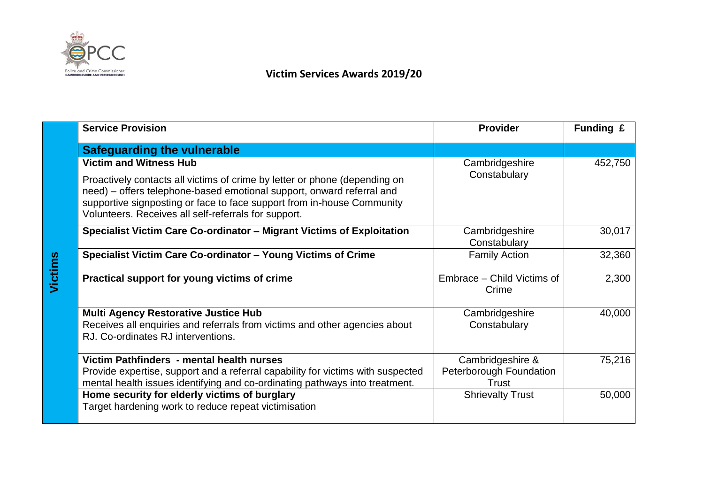

**Victims**

## **Victim Services Awards 2019/20**

| <b>Service Provision</b>                                                                                                                                                                                                                                                              | <b>Provider</b>                                      | Funding £ |
|---------------------------------------------------------------------------------------------------------------------------------------------------------------------------------------------------------------------------------------------------------------------------------------|------------------------------------------------------|-----------|
| <b>Safeguarding the vulnerable</b>                                                                                                                                                                                                                                                    |                                                      |           |
| <b>Victim and Witness Hub</b>                                                                                                                                                                                                                                                         | Cambridgeshire                                       | 452,750   |
| Proactively contacts all victims of crime by letter or phone (depending on<br>need) – offers telephone-based emotional support, onward referral and<br>supportive signposting or face to face support from in-house Community<br>Volunteers. Receives all self-referrals for support. | Constabulary                                         |           |
| Specialist Victim Care Co-ordinator - Migrant Victims of Exploitation                                                                                                                                                                                                                 | Cambridgeshire<br>Constabulary                       | 30,017    |
| Specialist Victim Care Co-ordinator - Young Victims of Crime                                                                                                                                                                                                                          | <b>Family Action</b>                                 | 32,360    |
| Practical support for young victims of crime                                                                                                                                                                                                                                          | Embrace - Child Victims of<br>Crime                  | 2,300     |
| <b>Multi Agency Restorative Justice Hub</b><br>Receives all enquiries and referrals from victims and other agencies about<br>RJ. Co-ordinates RJ interventions.                                                                                                                       | Cambridgeshire<br>Constabulary                       | 40,000    |
| Victim Pathfinders - mental health nurses<br>Provide expertise, support and a referral capability for victims with suspected<br>mental health issues identifying and co-ordinating pathways into treatment.                                                                           | Cambridgeshire &<br>Peterborough Foundation<br>Trust | 75,216    |
| Home security for elderly victims of burglary<br>Target hardening work to reduce repeat victimisation                                                                                                                                                                                 | <b>Shrievalty Trust</b>                              | 50,000    |